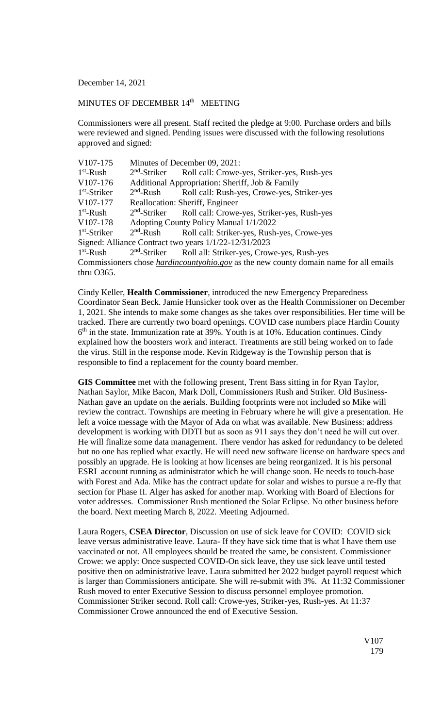December 14, 2021

## MINUTES OF DECEMBER 14<sup>th</sup> MEETING

Commissioners were all present. Staff recited the pledge at 9:00. Purchase orders and bills were reviewed and signed. Pending issues were discussed with the following resolutions approved and signed:

| V107-175                                                                                     | Minutes of December 09, 2021:                   |                                                                      |
|----------------------------------------------------------------------------------------------|-------------------------------------------------|----------------------------------------------------------------------|
| $1st$ -Rush                                                                                  |                                                 | 2 <sup>nd</sup> -Striker Roll call: Crowe-yes, Striker-yes, Rush-yes |
| V <sub>107</sub> -176                                                                        | Additional Appropriation: Sheriff, Job & Family |                                                                      |
| $1st$ -Striker                                                                               |                                                 | 2 <sup>nd</sup> -Rush Roll call: Rush-yes, Crowe-yes, Striker-yes    |
| V107-177                                                                                     | Reallocation: Sheriff, Engineer                 |                                                                      |
| $1st$ -Rush                                                                                  |                                                 | 2 <sup>nd</sup> -Striker Roll call: Crowe-yes, Striker-yes, Rush-yes |
| V107-178                                                                                     | Adopting County Policy Manual 1/1/2022          |                                                                      |
| $1st$ -Striker                                                                               | $2nd$ -Rush                                     | Roll call: Striker-yes, Rush-yes, Crowe-yes                          |
| Signed: Alliance Contract two years 1/1/22-12/31/2023                                        |                                                 |                                                                      |
| $1st$ -Rush                                                                                  |                                                 | 2 <sup>nd</sup> -Striker Roll all: Striker-yes, Crowe-yes, Rush-yes  |
| Commissioners chose <i>hardincountyohio.gov</i> as the new county domain name for all emails |                                                 |                                                                      |
| thru $O365$ .                                                                                |                                                 |                                                                      |

Cindy Keller, **Health Commissioner**, introduced the new Emergency Preparedness Coordinator Sean Beck. Jamie Hunsicker took over as the Health Commissioner on December 1, 2021. She intends to make some changes as she takes over responsibilities. Her time will be tracked. There are currently two board openings. COVID case numbers place Hardin County 6<sup>th</sup> in the state. Immunization rate at 39%. Youth is at 10%. Education continues. Cindy explained how the boosters work and interact. Treatments are still being worked on to fade the virus. Still in the response mode. Kevin Ridgeway is the Township person that is responsible to find a replacement for the county board member.

**GIS Committee** met with the following present, Trent Bass sitting in for Ryan Taylor, Nathan Saylor, Mike Bacon, Mark Doll, Commissioners Rush and Striker. Old Business-Nathan gave an update on the aerials. Building footprints were not included so Mike will review the contract. Townships are meeting in February where he will give a presentation. He left a voice message with the Mayor of Ada on what was available. New Business: address development is working with DDTI but as soon as 911 says they don't need he will cut over. He will finalize some data management. There vendor has asked for redundancy to be deleted but no one has replied what exactly. He will need new software license on hardware specs and possibly an upgrade. He is looking at how licenses are being reorganized. It is his personal ESRI account running as administrator which he will change soon. He needs to touch-base with Forest and Ada. Mike has the contract update for solar and wishes to pursue a re-fly that section for Phase II. Alger has asked for another map. Working with Board of Elections for voter addresses. Commissioner Rush mentioned the Solar Eclipse. No other business before the board. Next meeting March 8, 2022. Meeting Adjourned.

Laura Rogers, **CSEA Director**, Discussion on use of sick leave for COVID: COVID sick leave versus administrative leave. Laura- If they have sick time that is what I have them use vaccinated or not. All employees should be treated the same, be consistent. Commissioner Crowe: we apply: Once suspected COVID-On sick leave, they use sick leave until tested positive then on administrative leave. Laura submitted her 2022 budget payroll request which is larger than Commissioners anticipate. She will re-submit with 3%. At 11:32 Commissioner Rush moved to enter Executive Session to discuss personnel employee promotion. Commissioner Striker second. Roll call: Crowe-yes, Striker-yes, Rush-yes. At 11:37 Commissioner Crowe announced the end of Executive Session.